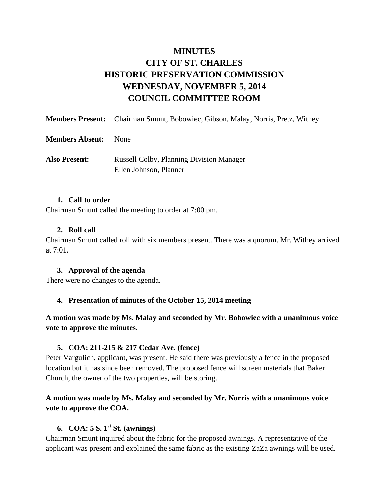# **MINUTES CITY OF ST. CHARLES HISTORIC PRESERVATION COMMISSION WEDNESDAY, NOVEMBER 5, 2014 COUNCIL COMMITTEE ROOM**

|                        | <b>Members Present:</b> Chairman Smunt, Bobowiec, Gibson, Malay, Norris, Pretz, Withey |
|------------------------|----------------------------------------------------------------------------------------|
| <b>Members Absent:</b> | <b>None</b>                                                                            |
| <b>Also Present:</b>   | <b>Russell Colby, Planning Division Manager</b><br>Ellen Johnson, Planner              |

#### **1. Call to order**

Chairman Smunt called the meeting to order at 7:00 pm.

#### **2. Roll call**

Chairman Smunt called roll with six members present. There was a quorum. Mr. Withey arrived at 7:01.

#### **3. Approval of the agenda**

There were no changes to the agenda.

#### **4. Presentation of minutes of the October 15, 2014 meeting**

#### **A motion was made by Ms. Malay and seconded by Mr. Bobowiec with a unanimous voice vote to approve the minutes.**

#### **5. COA: 211-215 & 217 Cedar Ave. (fence)**

Peter Vargulich, applicant, was present. He said there was previously a fence in the proposed location but it has since been removed. The proposed fence will screen materials that Baker Church, the owner of the two properties, will be storing.

### **A motion was made by Ms. Malay and seconded by Mr. Norris with a unanimous voice vote to approve the COA.**

### **6. COA: 5 S. 1st St. (awnings)**

Chairman Smunt inquired about the fabric for the proposed awnings. A representative of the applicant was present and explained the same fabric as the existing ZaZa awnings will be used.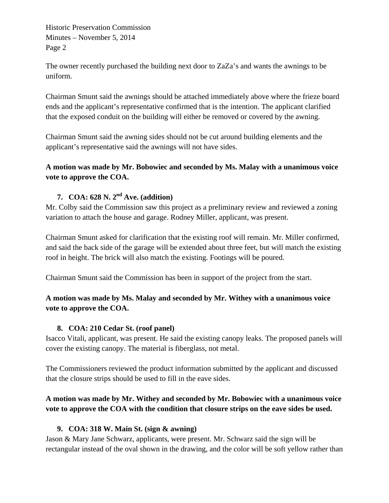Historic Preservation Commission Minutes – November 5, 2014 Page 2

The owner recently purchased the building next door to ZaZa's and wants the awnings to be uniform.

Chairman Smunt said the awnings should be attached immediately above where the frieze board ends and the applicant's representative confirmed that is the intention. The applicant clarified that the exposed conduit on the building will either be removed or covered by the awning.

Chairman Smunt said the awning sides should not be cut around building elements and the applicant's representative said the awnings will not have sides.

**A motion was made by Mr. Bobowiec and seconded by Ms. Malay with a unanimous voice vote to approve the COA.** 

# **7. COA: 628 N. 2nd Ave. (addition)**

Mr. Colby said the Commission saw this project as a preliminary review and reviewed a zoning variation to attach the house and garage. Rodney Miller, applicant, was present.

Chairman Smunt asked for clarification that the existing roof will remain. Mr. Miller confirmed, and said the back side of the garage will be extended about three feet, but will match the existing roof in height. The brick will also match the existing. Footings will be poured.

Chairman Smunt said the Commission has been in support of the project from the start.

# **A motion was made by Ms. Malay and seconded by Mr. Withey with a unanimous voice vote to approve the COA.**

#### **8. COA: 210 Cedar St. (roof panel)**

Isacco Vitali, applicant, was present. He said the existing canopy leaks. The proposed panels will cover the existing canopy. The material is fiberglass, not metal.

The Commissioners reviewed the product information submitted by the applicant and discussed that the closure strips should be used to fill in the eave sides.

# **A motion was made by Mr. Withey and seconded by Mr. Bobowiec with a unanimous voice vote to approve the COA with the condition that closure strips on the eave sides be used.**

### **9. COA: 318 W. Main St. (sign & awning)**

Jason & Mary Jane Schwarz, applicants, were present. Mr. Schwarz said the sign will be rectangular instead of the oval shown in the drawing, and the color will be soft yellow rather than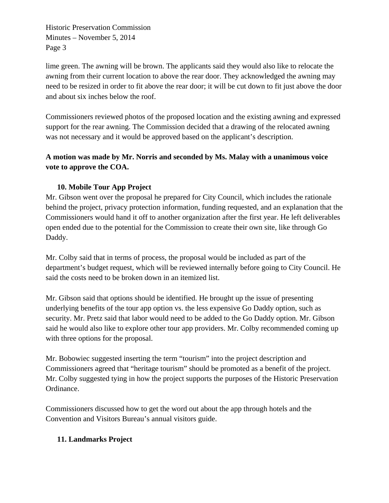Historic Preservation Commission Minutes – November 5, 2014 Page 3

lime green. The awning will be brown. The applicants said they would also like to relocate the awning from their current location to above the rear door. They acknowledged the awning may need to be resized in order to fit above the rear door; it will be cut down to fit just above the door and about six inches below the roof.

Commissioners reviewed photos of the proposed location and the existing awning and expressed support for the rear awning. The Commission decided that a drawing of the relocated awning was not necessary and it would be approved based on the applicant's description.

# **A motion was made by Mr. Norris and seconded by Ms. Malay with a unanimous voice vote to approve the COA.**

# **10. Mobile Tour App Project**

Mr. Gibson went over the proposal he prepared for City Council, which includes the rationale behind the project, privacy protection information, funding requested, and an explanation that the Commissioners would hand it off to another organization after the first year. He left deliverables open ended due to the potential for the Commission to create their own site, like through Go Daddy.

Mr. Colby said that in terms of process, the proposal would be included as part of the department's budget request, which will be reviewed internally before going to City Council. He said the costs need to be broken down in an itemized list.

Mr. Gibson said that options should be identified. He brought up the issue of presenting underlying benefits of the tour app option vs. the less expensive Go Daddy option, such as security. Mr. Pretz said that labor would need to be added to the Go Daddy option. Mr. Gibson said he would also like to explore other tour app providers. Mr. Colby recommended coming up with three options for the proposal.

Mr. Bobowiec suggested inserting the term "tourism" into the project description and Commissioners agreed that "heritage tourism" should be promoted as a benefit of the project. Mr. Colby suggested tying in how the project supports the purposes of the Historic Preservation Ordinance.

Commissioners discussed how to get the word out about the app through hotels and the Convention and Visitors Bureau's annual visitors guide.

### **11. Landmarks Project**